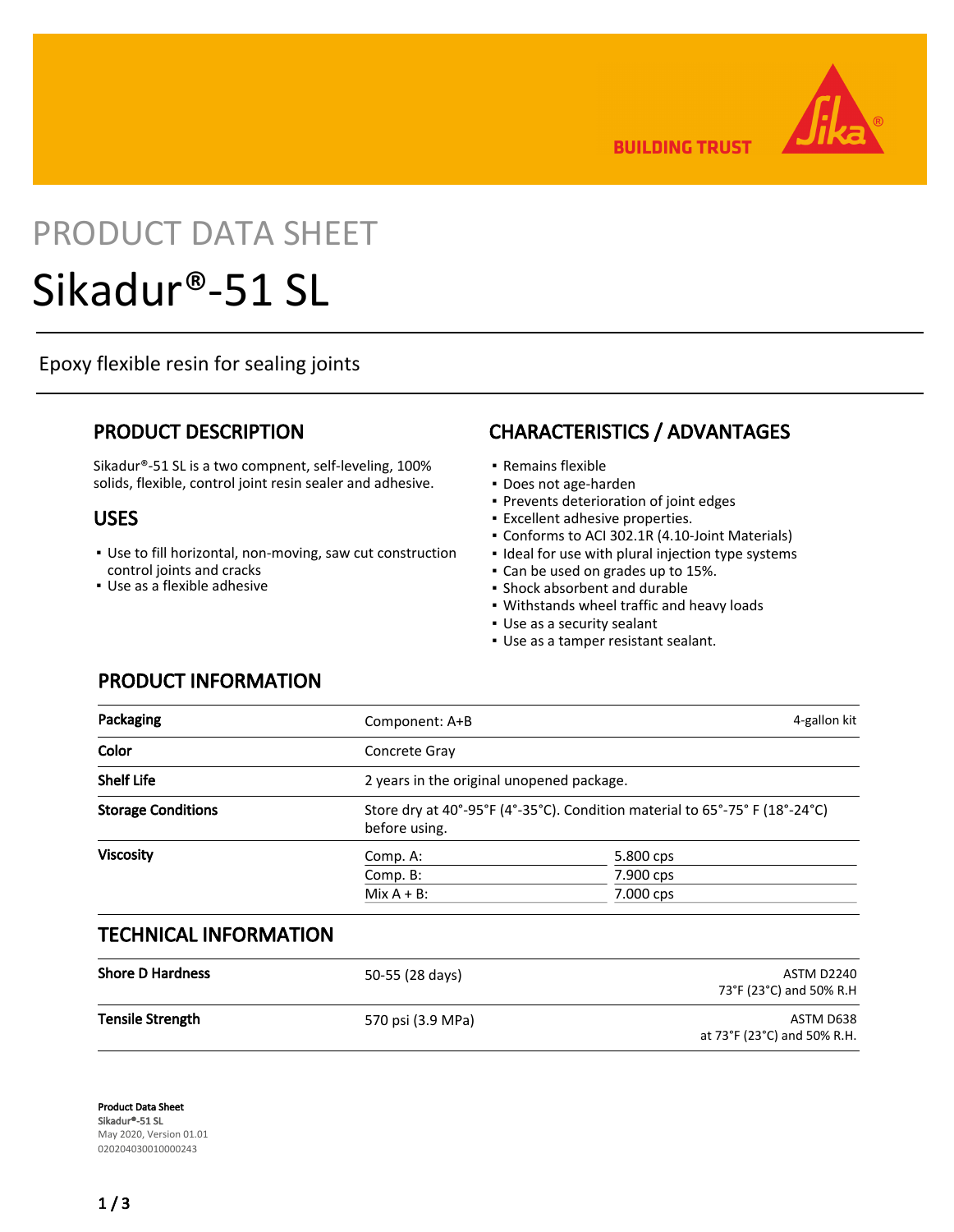**BUILDING TRUST** 

# PRODUCT DATA SHEET Sikadur®-51 SL

Epoxy flexible resin for sealing joints

## PRODUCT DESCRIPTION

Sikadur®-51 SL is a two compnent, self-leveling, 100% solids, flexible, control joint resin sealer and adhesive.

## USES

- Use to fill horizontal, non-moving, saw cut construction control joints and cracks
- Use as a flexible adhesive

PRODUCT INFORMATION

# CHARACTERISTICS / ADVANTAGES

- Remains flexible
- Does not age-harden
- Prevents deterioration of joint edges
- Excellent adhesive properties.
- Conforms to ACI 302.1R (4.10-Joint Materials)
- Ideal for use with plural injection type systems
- Can be used on grades up to 15%.
- Shock absorbent and durable
- Withstands wheel traffic and heavy loads
- Use as a security sealant
- Use as a tamper resistant sealant.

| Packaging                 | Component: A+B | 4-gallon kit                                                               |  |  |
|---------------------------|----------------|----------------------------------------------------------------------------|--|--|
| Color                     | Concrete Gray  |                                                                            |  |  |
| <b>Shelf Life</b>         |                | 2 years in the original unopened package.                                  |  |  |
| <b>Storage Conditions</b> | before using.  | Store dry at 40°-95°F (4°-35°C). Condition material to 65°-75°F (18°-24°C) |  |  |
| <b>Viscosity</b>          | Comp. A:       | 5.800 cps                                                                  |  |  |
|                           | Comp. B:       | 7.900 cps                                                                  |  |  |
|                           | $Mix A + B$ :  | 7.000 cps                                                                  |  |  |

## TECHNICAL INFORMATION

| <b>Shore D Hardness</b> | 50-55 (28 days)   | ASTM D2240<br>73°F (23°C) and 50% R.H    |
|-------------------------|-------------------|------------------------------------------|
| <b>Tensile Strength</b> | 570 psi (3.9 MPa) | ASTM D638<br>at 73°F (23°C) and 50% R.H. |

Product Data Sheet Sikadur®-51 SL May 2020, Version 01.01 020204030010000243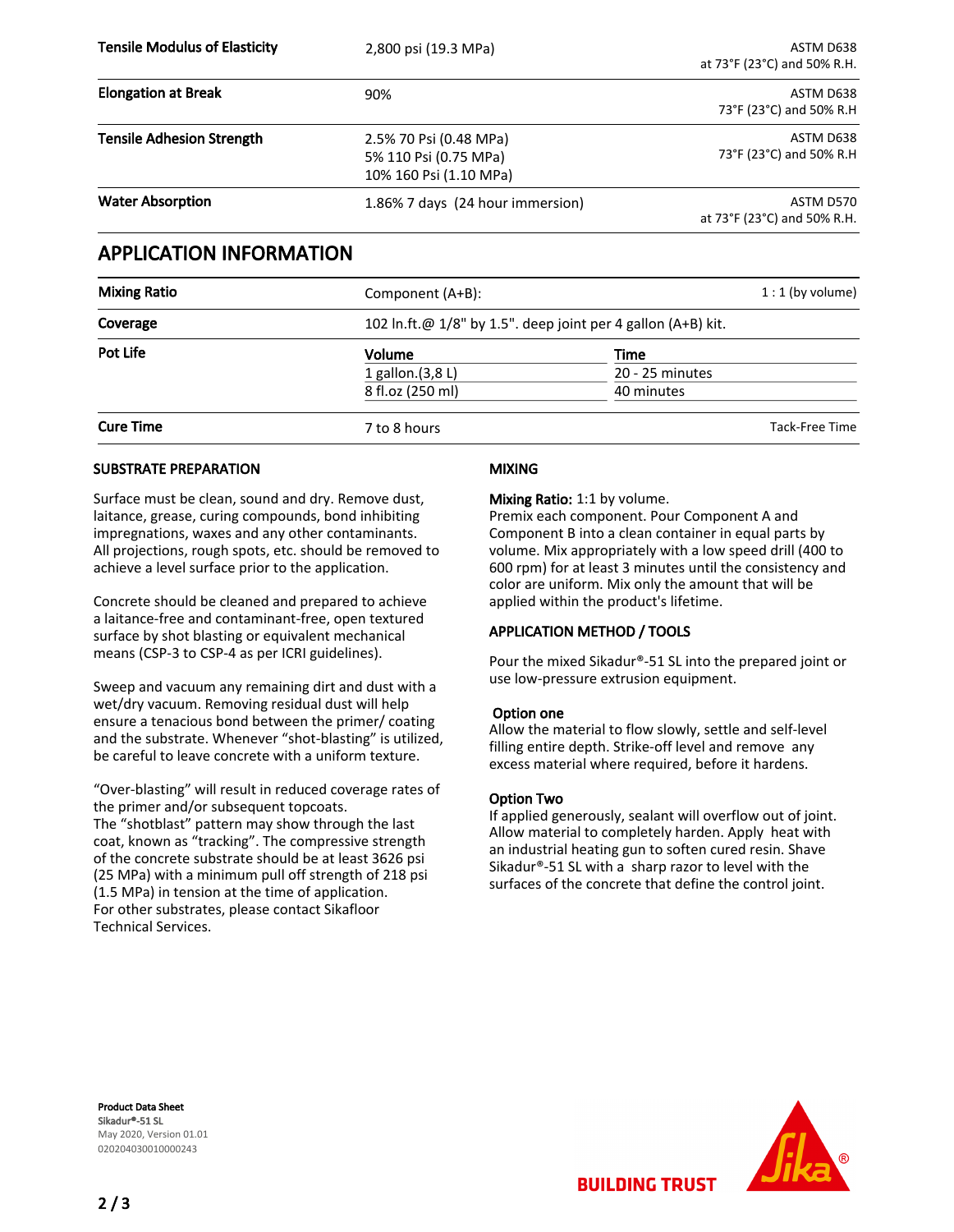| <b>Tensile Modulus of Elasticity</b> | 2,800 psi (19.3 MPa)                                                      | ASTM D638<br>at 73°F (23°C) and 50% R.H. |
|--------------------------------------|---------------------------------------------------------------------------|------------------------------------------|
| <b>Elongation at Break</b>           | 90%                                                                       | ASTM D638<br>73°F (23°C) and 50% R.H     |
| <b>Tensile Adhesion Strength</b>     | 2.5% 70 Psi (0.48 MPa)<br>5% 110 Psi (0.75 MPa)<br>10% 160 Psi (1.10 MPa) | ASTM D638<br>73°F (23°C) and 50% R.H     |
| <b>Water Absorption</b>              | 1.86% 7 days (24 hour immersion)                                          | ASTM D570<br>at 73°F (23°C) and 50% R.H. |

## APPLICATION INFORMATION

| <b>Mixing Ratio</b> | Component (A+B): |                                                              | $1:1$ (by volume) |  |
|---------------------|------------------|--------------------------------------------------------------|-------------------|--|
| Coverage            |                  | 102 In.ft.@ 1/8" by 1.5". deep joint per 4 gallon (A+B) kit. |                   |  |
| Pot Life            | <b>Volume</b>    | Time                                                         |                   |  |
|                     | 1 gallon.(3,8 L) | 20 - 25 minutes                                              |                   |  |
|                     | 8 fl.oz (250 ml) | 40 minutes                                                   |                   |  |
| <b>Cure Time</b>    | 7 to 8 hours     |                                                              | Tack-Free Time    |  |

#### SUBSTRATE PREPARATION

Surface must be clean, sound and dry. Remove dust, laitance, grease, curing compounds, bond inhibiting impregnations, waxes and any other contaminants. All projections, rough spots, etc. should be removed to achieve a level surface prior to the application.

Concrete should be cleaned and prepared to achieve a laitance-free and contaminant-free, open textured surface by shot blasting or equivalent mechanical means (CSP-3 to CSP-4 as per ICRI guidelines).

Sweep and vacuum any remaining dirt and dust with a wet/dry vacuum. Removing residual dust will help ensure a tenacious bond between the primer/ coating and the substrate. Whenever "shot-blasting" is utilized, be careful to leave concrete with a uniform texture.

"Over-blasting" will result in reduced coverage rates of the primer and/or subsequent topcoats. The "shotblast" pattern may show through the last coat, known as "tracking". The compressive strength of the concrete substrate should be at least 3626 psi (25 MPa) with a minimum pull off strength of 218 psi (1.5 MPa) in tension at the time of application. For other substrates, please contact Sikafloor Technical Services.

#### MIXING

#### Mixing Ratio: 1:1 by volume.

Premix each component. Pour Component A and Component B into a clean container in equal parts by volume. Mix appropriately with a low speed drill (400 to 600 rpm) for at least 3 minutes until the consistency and color are uniform. Mix only the amount that will be applied within the product's lifetime.

#### APPLICATION METHOD / TOOLS

Pour the mixed Sikadur®-51 SL into the prepared joint or use low-pressure extrusion equipment.

#### Option one

Allow the material to flow slowly, settle and self-level filling entire depth. Strike-off level and remove any excess material where required, before it hardens.

#### Option Two

If applied generously, sealant will overflow out of joint. Allow material to completely harden. Apply heat with an industrial heating gun to soften cured resin. Shave Sikadur®-51 SL with a sharp razor to level with the surfaces of the concrete that define the control joint.

Product Data Sheet Sikadur®-51 SL May 2020, Version 01.01 020204030010000243



**BUILDING TRUST**